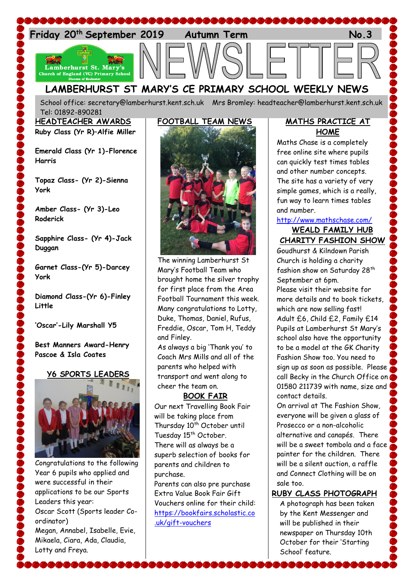

**LAMBERHURST ST MARY'S CE PRIMARY SCHOOL WEEKLY NEWS**

School office: [secretary@lamberhurst.kent.sch.uk](mailto:secretary@lamberhurst.kent.sch.uk) Mrs Bromley: headteacher@lamberhurst.kent.sch.uk Tel: 01892-890281

**HEADTEACHER AWARDS Ruby Class (Yr R)–Alfie Miller**

**Emerald Class (Yr 1)-Florence Harris**

**Topaz Class- (Yr 2)-Sienna York**

**Amber Class- (Yr 3)-Leo Roderick**

**Sapphire Class- (Yr 4)-Jack Duggan**

**Garnet Class-(Yr 5)-Darcey York**

**Diamond Class-(Yr 6)-Finley Little**

**'Oscar'-Lily Marshall Y5**

**Best Manners Award-Henry Pascoe & Isla Coates**

### **Y6 SPORTS LEADERS**



Congratulations to the following Year 6 pupils who applied and were successful in their applications to be our Sports Leaders this year: Oscar Scott (Sports leader Coordinator) Megan, Annabel, Isabelle, Evie, Mikaela, Ciara, Ada, Claudia, Lotty and Freya.



The winning Lamberhurst St Mary's Football Team who brought home the silver trophy for first place from the Area Football Tournament this week. Many congratulations to Lotty, Duke, Thomas, Daniel, Rufus, Freddie, Oscar, Tom H, Teddy and Finley.

As always a big 'Thank you' to Coach Mrs Mills and all of the parents who helped with transport and went along to cheer the team on.

# **BOOK FAIR**

Our next Travelling Book Fair will be taking place from Thursday 10<sup>th</sup> October until Tuesday 15<sup>th</sup> October. There will as always be a superb selection of books for parents and children to purchase.

Parents can also pre purchase Extra Value Book Fair Gift Vouchers online for their child: [https://bookfairs.scholastic.co](https://bookfairs.scholastic.co.uk/gift-vouchers) [.uk/gift-vouchers](https://bookfairs.scholastic.co.uk/gift-vouchers)

### **MATHS PRACTICE AT HOME**

Maths Chase is a completely free online site where pupils can quickly test times tables and other number concepts. The site has a variety of very simple games, which is a really, fun way to learn times tables and number.

### <http://www.mathschase.com/> **WEALD FAMILY HUB**

**CHARITY FASHION SHOW**

Goudhurst & Kilndown Parish Church is holding a charity fashion show on Saturday 28<sup>th</sup> September at 6pm.

Please visit their website for more details and to book tickets, which are now selling fast! Adult £6, Child £2, Family £14 Pupils at Lamberhurst St Mary's school also have the opportunity to be a model at the GK Charity Fashion Show too. You need to sign up as soon as possible. Please call Becky in the Church Office on 01580 211739 with name, size and contact details.

On arrival at The Fashion Show, everyone will be given a glass of Prosecco or a non-alcoholic alternative and canapés. There will be a sweet tombola and a face painter for the children. There will be a silent auction, a raffle and Connect Clothing will be on sale too.

## **RUBY CLASS PHOTOGRAPH**

A photograph has been taken by the Kent Messenger and will be published in their newspaper on Thursday 10th October for their 'Starting School' feature.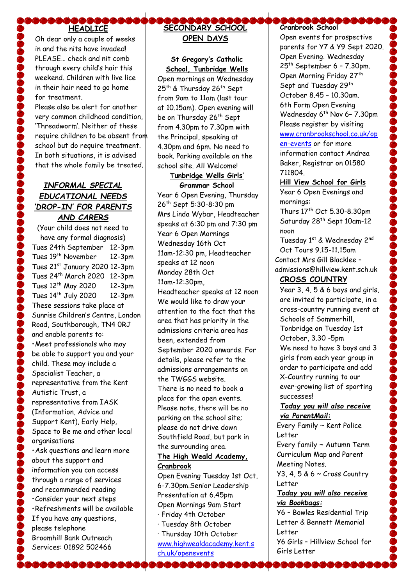# **HEADLICE**

Oh dear only a couple of weeks in and the nits have invaded! PLEASE… check and nit comb through every child's hair this weekend. Children with live lice in their hair need to go home for treatment.

Please also be alert for another very common childhood condition, 'Threadworm'. Neither of these require children to be absent from school but do require treatment. In both situations, it is advised that the whole family be treated.

## *INFORMAL SPECIAL EDUCATIONAL NEEDS 'DROP-IN' FOR PARENTS AND CARERS*

(Your child does not need to have any formal diagnosis) Tues 24th September 12-3pm Tues 19<sup>th</sup> November 12-3pm Tues 21st January 2020 12-3pm Tues 24th March 2020 12-3pm Tues 12th May 2020 12-3pm Tues  $14<sup>th</sup>$  July 2020 12-3pm These sessions take place at Sunrise Children's Centre, London Road, Southborough, TN4 0RJ and enable parents to: •Meet professionals who may be able to support you and your child. These may include a Specialist Teacher, a representative from the Kent Autistic Trust, a representative from IASK (Information, Advice and Support Kent), Early Help, Space to Be me and other local organisations •Ask questions and learn more about the support and information you can access through a range of services and recommended reading •Consider your next steps •Refreshments will be available If you have any questions, please telephone Broomhill Bank Outreach Services: 01892 502466

# **SECONDARY SCHOOL OPEN DAYS**

**St Gregory's Catholic School, Tunbridge Wells**

Open mornings on Wednesday 25<sup>th</sup> & Thursday 26<sup>th</sup> Sept from 9am to 11am (last tour at 10.15am). Open evening will be on Thursday 26<sup>th</sup> Sept from 4.30pm to 7.30pm with the Principal, speaking at 4.30pm and 6pm. No need to book. Parking available on the school site. All Welcome!

#### **Tunbridge Wells Girls' Grammar School**

Year 6 Open Evening, Thursday 26th Sept 5:30-8:30 pm Mrs Linda Wybar, Headteacher speaks at 6:30 pm and 7:30 pm Year 6 Open Mornings Wednesday 16th Oct 11am-12:30 pm, Headteacher speaks at 12 noon Monday 28th Oct 11am-12:30pm, Headteacher speaks at 12 noon We would like to draw your attention to the fact that the area that has priority in the admissions criteria area has been, extended from September 2020 onwards. For details, please refer to the admissions arrangements on the TWGGS website. There is no need to book a place for the open events. Please note, there will be no parking on the school site; please do not drive down Southfield Road, but park in the surrounding area.

### **The High Weald Academy, Cranbrook**

Open Evening Tuesday 1st Oct, 6-7.30pm.Senior Leadership Presentation at 6.45pm Open Mornings 9am Start

- · Friday 4th October
- · Tuesday 8th October
- · Thursday 10th October [www.highwealdacademy.kent.s](http://www.highwealdacademy.kent.sch.uk/openevents) [ch.uk/openevents](http://www.highwealdacademy.kent.sch.uk/openevents)

# **Cranbrook School**

Open events for prospective parents for Y7 & Y9 Sept 2020. Open Evening. Wednesday  $25<sup>th</sup>$  September 6 - 7.30pm. Open Morning Friday 27<sup>th</sup> Sept and Tuesday 29<sup>th</sup> October 8.45 – 10.30am. 6th Form Open Evening Wednesday 6<sup>th</sup> Nov 6- 7.30pm Please register by visiting [www.cranbrookschool.co.uk/op](http://www.cranbrookschool.co.uk/open-events) [en-events](http://www.cranbrookschool.co.uk/open-events) or for more

information contact Andrea Baker, Registrar on 01580 711804.

**Hill View School for Girls** Year 6 Open Evenings and mornings:

Thurs 17th Oct 5.30-8.30pm Saturday 28<sup>th</sup> Sept 10am-12 noon

Tuesday 1st & Wednesday 2nd Oct Tours 9.15-11.15am Contact Mrs Gill Blacklee – admissions@hillview.kent.sch.uk

# **CROSS COUNTRY**

Year 3, 4, 5 & 6 boys and girls, are invited to participate, in a cross-country running event at Schools of Sommerhill, Tonbridge on Tuesday 1st October, 3.30 -5pm We need to have 3 boys and 3 girls from each year group in order to participate and add X-Country running to our ever-growing list of sporting successes!

### *Today you will also receive via ParentMail:*

Every Family ~ Kent Police Letter

Every family ~ Autumn Term Curriculum Map and Parent Meeting Notes.

Y3, 4, 5 & 6 ~ Cross Country Letter

### *Today you will also receive via Bookbags:*

Y6 – Bowles Residential Trip Letter & Bennett Memorial Letter

Y6 Girls – Hillview School for Girls Letter